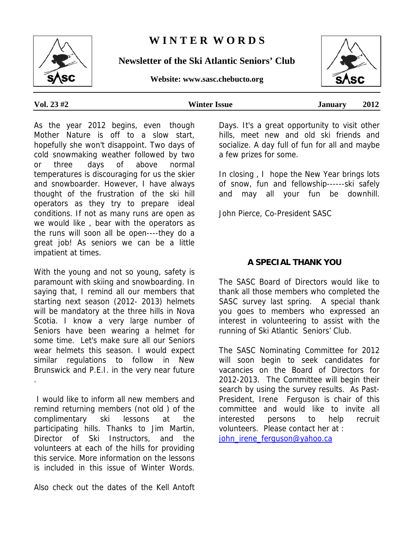# **W I N T E R W O R D S**

**Newsletter of the Ski Atlantic Seniors' Club** 

**Website: www.sasc.chebucto.org**

.

As the year 2012 begins, even though Mother Nature is off to a slow start, hopefully she won't disappoint. Two days of cold snowmaking weather followed by two or three days of above normal temperatures is discouraging for us the skier and snowboarder. However, I have always thought of the frustration of the ski hill operators as they try to prepare ideal conditions. If not as many runs are open as we would like , bear with the operators as the runs will soon all be open----they do a great job! As seniors we can be a little impatient at times.

With the young and not so young, safety is paramount with skiing and snowboarding. In saying that, I remind all our members that starting next season (2012- 2013) helmets will be mandatory at the three hills in Nova Scotia. I know a very large number of Seniors have been wearing a helmet for some time. Let's make sure all our Seniors wear helmets this season. I would expect similar regulations to follow in New Brunswick and P.E.I. in the very near future

 I would like to inform all new members and remind returning members (not old ) of the complimentary ski lessons at the participating hills. Thanks to Jim Martin, Director of Ski Instructors, and the volunteers at each of the hills for providing this service. More information on the lessons is included in this issue of Winter Words.

Also check out the dates of the Kell Antoft

Days. It's a great opportunity to visit other hills, meet new and old ski friends and socialize. A day full of fun for all and maybe a few prizes for some.

In closing , I hope the New Year brings lots of snow, fun and fellowship------ski safely and may all your fun be downhill.

John Pierce, Co-President SASC

## **A SPECIAL THANK YOU**

The SASC Board of Directors would like to thank all those members who completed the SASC survey last spring. A special thank you goes to members who expressed an interest in volunteering to assist with the running of Ski Atlantic Seniors' Club.

The SASC Nominating Committee for 2012 will soon begin to seek candidates for vacancies on the Board of Directors for 2012-2013. The Committee will begin their search by using the survey results. As Past-President, Irene Ferguson is chair of this committee and would like to invite all interested persons to help recruit volunteers. Please contact her at : john\_irene\_ferguson@yahoo.ca



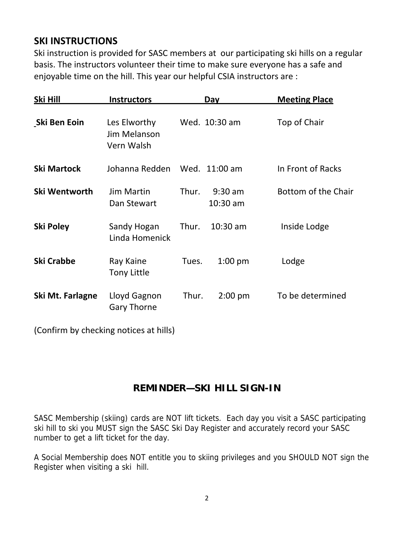# **SKI INSTRUCTIONS**

Ski instruction is provided for SASC members at our participating ski hills on a regular basis. The instructors volunteer their time to make sure everyone has a safe and enjoyable time on the hill. This year our helpful CSIA instructors are :

| Ski Hill           | <b>Instructors</b>                         | Day                              | <b>Meeting Place</b> |
|--------------------|--------------------------------------------|----------------------------------|----------------------|
| Ski Ben Eoin       | Les Elworthy<br>Jim Melanson<br>Vern Walsh | Wed. 10:30 am                    | Top of Chair         |
| <b>Ski Martock</b> | Johanna Redden                             | Wed. 11:00 am                    | In Front of Racks    |
| Ski Wentworth      | <b>Jim Martin</b><br>Dan Stewart           | Thur.<br>$9:30$ am<br>$10:30$ am | Bottom of the Chair  |
| Ski Poley          | Sandy Hogan<br>Linda Homenick              | $10:30$ am<br>Thur.              | Inside Lodge         |
| <b>Ski Crabbe</b>  | Ray Kaine<br><b>Tony Little</b>            | Tues.<br>$1:00$ pm               | Lodge                |
| Ski Mt. Farlagne   | Lloyd Gagnon<br><b>Gary Thorne</b>         | Thur.<br>$2:00$ pm               | To be determined     |

(Confirm by checking notices at hills)

# **REMINDER—SKI HILL SIGN-IN**

SASC Membership (skiing) cards are NOT lift tickets. Each day you visit a SASC participating ski hill to ski you MUST sign the SASC Ski Day Register and accurately record your SASC number to get a lift ticket for the day.

A Social Membership does NOT entitle you to skiing privileges and you SHOULD NOT sign the Register when visiting a ski hill.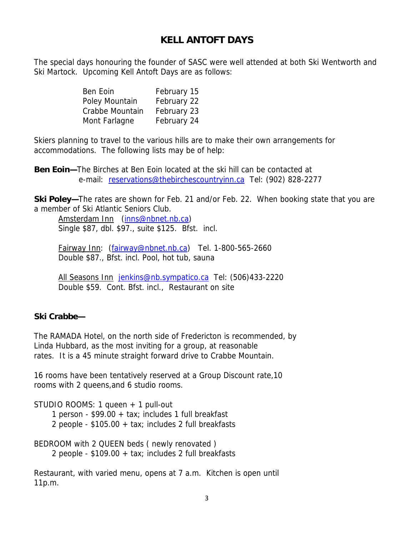## **KELL ANTOFT DAYS**

The special days honouring the founder of SASC were well attended at both Ski Wentworth and Ski Martock. Upcoming Kell Antoft Days are as follows:

| Ben Eoin        | February 15 |
|-----------------|-------------|
| Poley Mountain  | February 22 |
| Crabbe Mountain | February 23 |
| Mont Farlagne   | February 24 |

Skiers planning to travel to the various hills are to make their own arrangements for accommodations. The following lists may be of help:

**Ben Eoin—**The Birches at Ben Eoin located at the ski hill can be contacted at e-mail: reservations@thebirchescountryinn.ca Tel: (902) 828-2277

**Ski Poley—**The rates are shown for Feb. 21 and/or Feb. 22. When booking state that you are a member of Ski Atlantic Seniors Club.

Amsterdam Inn (inns@nbnet.nb.ca) Single \$87, dbl. \$97., suite \$125. Bfst. incl.

Fairway Inn: (fairway@nbnet.nb.ca) Tel. 1-800-565-2660 Double \$87., Bfst. incl. Pool, hot tub, sauna

All Seasons Inn jenkins@nb.sympatico.ca Tel: (506)433-2220 Double \$59. Cont. Bfst. incl., Restaurant on site

### **Ski Crabbe—**

The RAMADA Hotel, on the north side of Fredericton is recommended, by Linda Hubbard, as the most inviting for a group, at reasonable rates. It is a 45 minute straight forward drive to Crabbe Mountain.

16 rooms have been tentatively reserved at a Group Discount rate,10 rooms with 2 queens,and 6 studio rooms.

STUDIO ROOMS: 1 queen + 1 pull-out

1 person - \$99.00 + tax; includes 1 full breakfast

2 people - \$105.00 + tax; includes 2 full breakfasts

BEDROOM with 2 QUEEN beds ( newly renovated ) 2 people - \$109.00 + tax; includes 2 full breakfasts

Restaurant, with varied menu, opens at 7 a.m. Kitchen is open until 11p.m.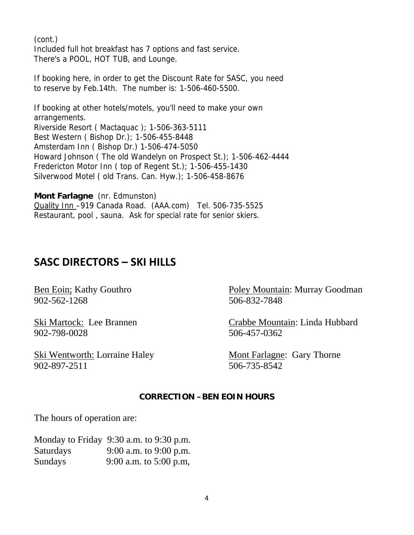(cont.) Included full hot breakfast has 7 options and fast service. There's a POOL, HOT TUB, and Lounge.

If booking here, in order to get the Discount Rate for SASC, you need to reserve by Feb.14th. The number is: 1-506-460-5500.

If booking at other hotels/motels, you'll need to make your own arrangements. Riverside Resort ( Mactaquac ); 1-506-363-5111 Best Western ( Bishop Dr.); 1-506-455-8448 Amsterdam Inn ( Bishop Dr.) 1-506-474-5050 Howard Johnson ( The old Wandelyn on Prospect St.); 1-506-462-4444 Fredericton Motor Inn ( top of Regent St.); 1-506-455-1430 Silverwood Motel ( old Trans. Can. Hyw.); 1-506-458-8676

**Mont Farlagne** (nr. Edmunston) Quality Inn –919 Canada Road. (AAA.com) Tel. 506-735-5525 Restaurant, pool , sauna. Ask for special rate for senior skiers.

# **SASC DIRECTORS – SKI HILLS**

902-562-1268 506-832-7848

902-798-0028 506-457-0362

Ski Wentworth: Lorraine Haley Mont Farlagne: Gary Thorne 902-897-2511 506-735-8542

Ben Eoin; Kathy Gouthro Poley Mountain: Murray Goodman

Ski Martock: Lee Brannen Crabbe Mountain: Linda Hubbard

#### **CORRECTION –BEN EOIN HOURS**

The hours of operation are:

|                  | Monday to Friday 9:30 a.m. to 9:30 p.m. |
|------------------|-----------------------------------------|
| <b>Saturdays</b> | 9:00 a.m. to 9:00 p.m.                  |
| <b>Sundays</b>   | 9:00 a.m. to $5:00$ p.m,                |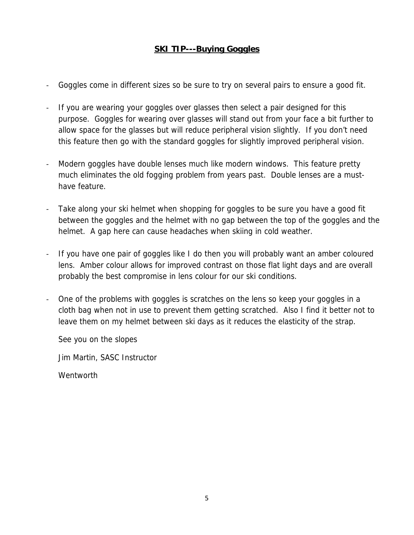## **SKI TIP---Buying Goggles**

- Goggles come in different sizes so be sure to try on several pairs to ensure a good fit.
- If you are wearing your goggles over glasses then select a pair designed for this purpose. Goggles for wearing over glasses will stand out from your face a bit further to allow space for the glasses but will reduce peripheral vision slightly. If you don't need this feature then go with the standard goggles for slightly improved peripheral vision.
- Modern goggles have double lenses much like modern windows. This feature pretty much eliminates the old fogging problem from years past. Double lenses are a musthave feature.
- Take along your ski helmet when shopping for goggles to be sure you have a good fit between the goggles and the helmet with no gap between the top of the goggles and the helmet. A gap here can cause headaches when skiing in cold weather.
- If you have one pair of goggles like I do then you will probably want an amber coloured lens. Amber colour allows for improved contrast on those flat light days and are overall probably the best compromise in lens colour for our ski conditions.
- One of the problems with goggles is scratches on the lens so keep your goggles in a cloth bag when not in use to prevent them getting scratched. Also I find it better not to leave them on my helmet between ski days as it reduces the elasticity of the strap.

See you on the slopes

Jim Martin, SASC Instructor

Wentworth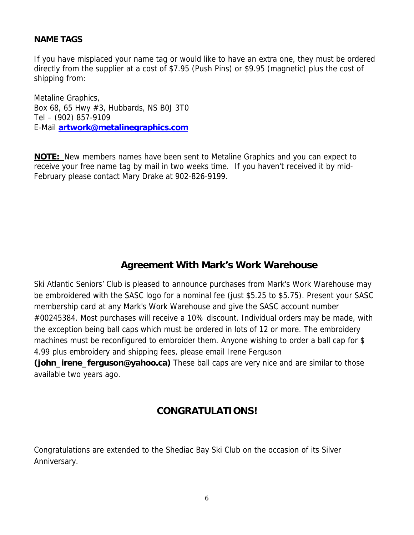### **NAME TAGS**

If you have misplaced your name tag or would like to have an extra one, they must be ordered directly from the supplier at a cost of \$7.95 (Push Pins) or \$9.95 (magnetic) plus the cost of shipping from:

Metaline Graphics, Box 68, 65 Hwy #3, Hubbards, NS B0J 3T0 Tel – (902) 857-9109 E-Mail **artwork@metalinegraphics.com** 

**NOTE:** New members names have been sent to Metaline Graphics and you can expect to receive your free name tag by mail in two weeks time. If you haven't received it by mid-February please contact Mary Drake at 902-826-9199.

# **Agreement With Mark's Work Warehouse**

Ski Atlantic Seniors' Club is pleased to announce purchases from Mark's Work Warehouse may be embroidered with the SASC logo for a nominal fee (just \$5.25 to \$5.75). Present your SASC membership card at any Mark's Work Warehouse and give the SASC account number #00245384. Most purchases will receive a 10% discount. Individual orders may be made, with the exception being ball caps which must be ordered in lots of 12 or more. The embroidery machines must be reconfigured to embroider them. Anyone wishing to order a ball cap for \$ 4.99 plus embroidery and shipping fees, please email Irene Ferguson

**(john\_irene\_ferguson@yahoo.ca)** These ball caps are very nice and are similar to those available two years ago.

## **CONGRATULATIONS!**

Congratulations are extended to the Shediac Bay Ski Club on the occasion of its Silver Anniversary.